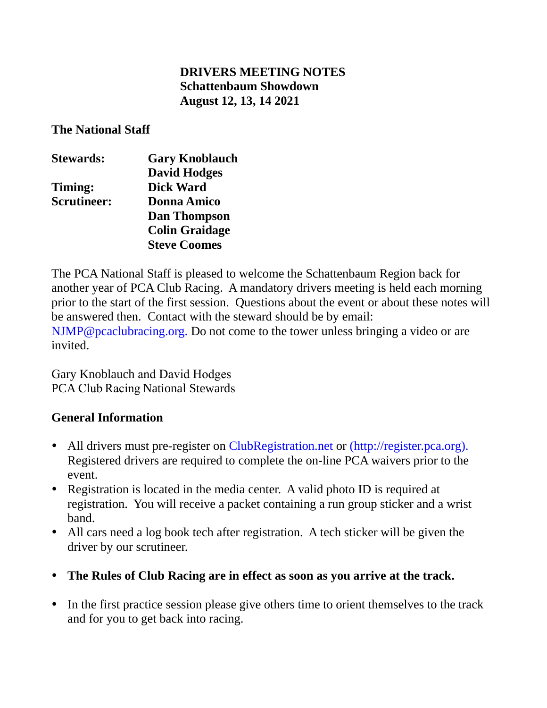## **DRIVERS MEETING NOTES Schattenbaum Showdown August 12, 13, 14 2021**

**The National Staff**

| <b>Stewards:</b>   | <b>Gary Knoblauch</b> |
|--------------------|-----------------------|
|                    | <b>David Hodges</b>   |
| Timing:            | <b>Dick Ward</b>      |
| <b>Scrutineer:</b> | <b>Donna Amico</b>    |
|                    | <b>Dan Thompson</b>   |
|                    | <b>Colin Graidage</b> |
|                    | <b>Steve Coomes</b>   |

The PCA National Staff is pleased to welcome the Schattenbaum Region back for another year of PCA Club Racing. A mandatory drivers meeting is held each morning prior to the start of the first session. Questions about the event or about these notes will be answered then. Contact with the steward should be by email: NJMP@pcaclubracing.org. Do not come to the tower unless bringing a video or are invited.

Gary Knoblauch and David Hodges PCA Club Racing National Stewards

## **General Information**

- All drivers must pre-register on ClubRegistration.net or (http://register.pca.org). Registered drivers are required to complete the on-line PCA waivers prior to the event.
- Registration is located in the media center. A valid photo ID is required at registration. You will receive a packet containing a run group sticker and a wrist band.
- All cars need a log book tech after registration. A tech sticker will be given the driver by our scrutineer.
- **The Rules of Club Racing are in effect as soon as you arrive at the track.**
- In the first practice session please give others time to orient themselves to the track and for you to get back into racing.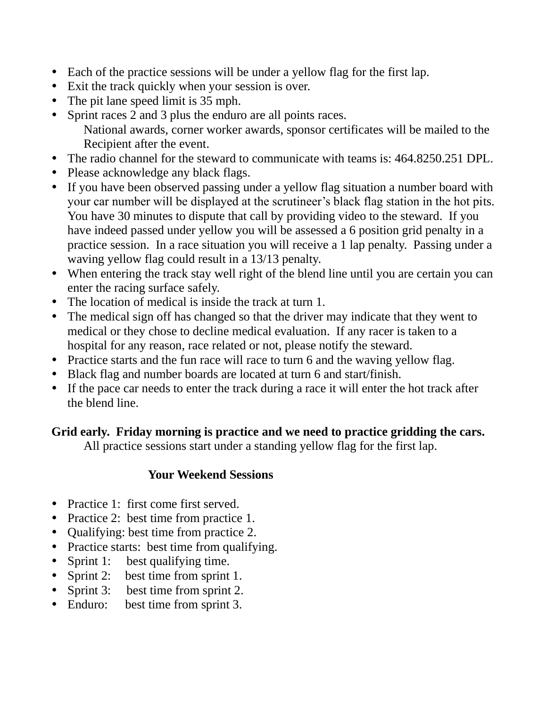- Each of the practice sessions will be under a yellow flag for the first lap.
- Exit the track quickly when your session is over.
- The pit lane speed limit is 35 mph.
- Sprint races 2 and 3 plus the enduro are all points races. National awards, corner worker awards, sponsor certificates will be mailed to the Recipient after the event.
- The radio channel for the steward to communicate with teams is: 464.8250.251 DPL.
- Please acknowledge any black flags.
- If you have been observed passing under a yellow flag situation a number board with your car number will be displayed at the scrutineer's black flag station in the hot pits. You have 30 minutes to dispute that call by providing video to the steward. If you have indeed passed under yellow you will be assessed a 6 position grid penalty in a practice session. In a race situation you will receive a 1 lap penalty. Passing under a waving yellow flag could result in a 13/13 penalty.
- When entering the track stay well right of the blend line until you are certain you can enter the racing surface safely.
- The location of medical is inside the track at turn 1.
- The medical sign off has changed so that the driver may indicate that they went to medical or they chose to decline medical evaluation. If any racer is taken to a hospital for any reason, race related or not, please notify the steward.
- Practice starts and the fun race will race to turn 6 and the waving yellow flag.
- Black flag and number boards are located at turn 6 and start/finish.
- If the pace car needs to enter the track during a race it will enter the hot track after the blend line.

# **Grid early. Friday morning is practice and we need to practice gridding the cars.**

All practice sessions start under a standing yellow flag for the first lap.

## **Your Weekend Sessions**

- Practice 1: first come first served.
- Practice 2: best time from practice 1.
- Qualifying: best time from practice 2.
- Practice starts: best time from qualifying.
- Sprint 1: best qualifying time.
- Sprint 2: best time from sprint 1.
- Sprint 3: best time from sprint 2.
- Enduro: best time from sprint 3.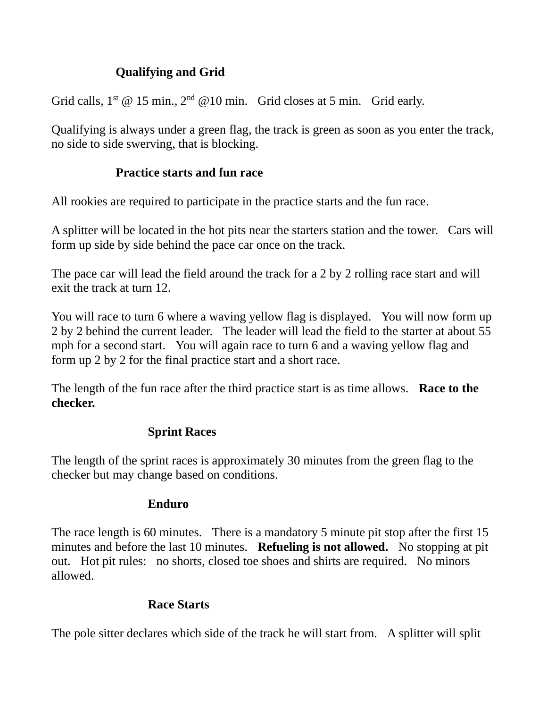# **Qualifying and Grid**

Grid calls,  $1^{st}$  @ 15 min.,  $2^{nd}$  @ 10 min. Grid closes at 5 min. Grid early.

Qualifying is always under a green flag, the track is green as soon as you enter the track, no side to side swerving, that is blocking.

# **Practice starts and fun race**

All rookies are required to participate in the practice starts and the fun race.

A splitter will be located in the hot pits near the starters station and the tower. Cars will form up side by side behind the pace car once on the track.

The pace car will lead the field around the track for a 2 by 2 rolling race start and will exit the track at turn 12.

You will race to turn 6 where a waving yellow flag is displayed. You will now form up 2 by 2 behind the current leader. The leader will lead the field to the starter at about 55 mph for a second start. You will again race to turn 6 and a waving yellow flag and form up 2 by 2 for the final practice start and a short race.

The length of the fun race after the third practice start is as time allows. **Race to the checker.**

# **Sprint Races**

The length of the sprint races is approximately 30 minutes from the green flag to the checker but may change based on conditions.

# **Enduro**

The race length is 60 minutes. There is a mandatory 5 minute pit stop after the first 15 minutes and before the last 10 minutes. **Refueling is not allowed.** No stopping at pit out. Hot pit rules: no shorts, closed toe shoes and shirts are required. No minors allowed.

# **Race Starts**

The pole sitter declares which side of the track he will start from. A splitter will split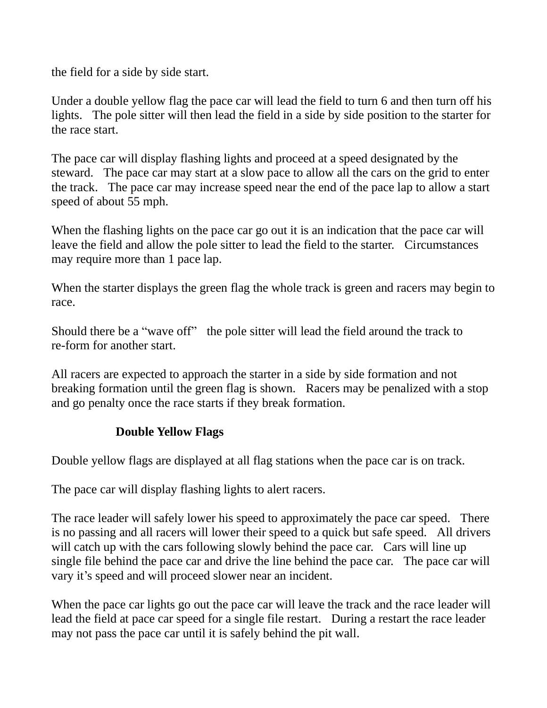the field for a side by side start.

Under a double yellow flag the pace car will lead the field to turn 6 and then turn off his lights. The pole sitter will then lead the field in a side by side position to the starter for the race start.

The pace car will display flashing lights and proceed at a speed designated by the steward. The pace car may start at a slow pace to allow all the cars on the grid to enter the track. The pace car may increase speed near the end of the pace lap to allow a start speed of about 55 mph.

When the flashing lights on the pace car go out it is an indication that the pace car will leave the field and allow the pole sitter to lead the field to the starter. Circumstances may require more than 1 pace lap.

When the starter displays the green flag the whole track is green and racers may begin to race.

Should there be a "wave off" the pole sitter will lead the field around the track to re-form for another start.

All racers are expected to approach the starter in a side by side formation and not breaking formation until the green flag is shown. Racers may be penalized with a stop and go penalty once the race starts if they break formation.

# **Double Yellow Flags**

Double yellow flags are displayed at all flag stations when the pace car is on track.

The pace car will display flashing lights to alert racers.

The race leader will safely lower his speed to approximately the pace car speed. There is no passing and all racers will lower their speed to a quick but safe speed. All drivers will catch up with the cars following slowly behind the pace car. Cars will line up single file behind the pace car and drive the line behind the pace car. The pace car will vary it's speed and will proceed slower near an incident.

When the pace car lights go out the pace car will leave the track and the race leader will lead the field at pace car speed for a single file restart. During a restart the race leader may not pass the pace car until it is safely behind the pit wall.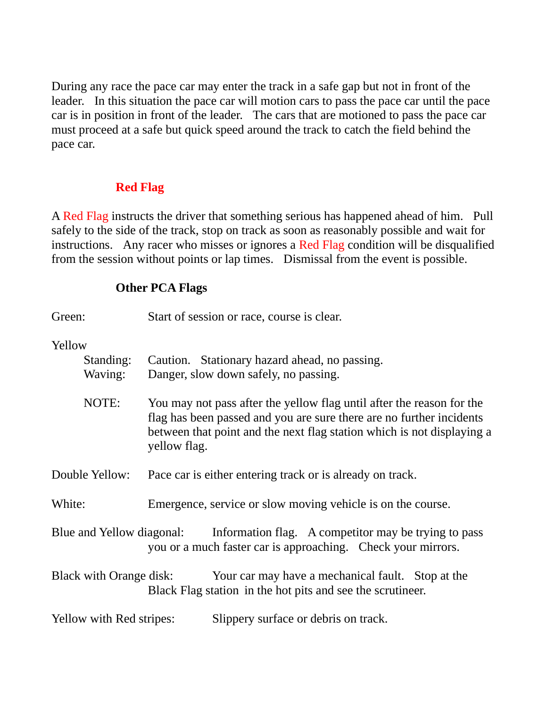During any race the pace car may enter the track in a safe gap but not in front of the leader. In this situation the pace car will motion cars to pass the pace car until the pace car is in position in front of the leader. The cars that are motioned to pass the pace car must proceed at a safe but quick speed around the track to catch the field behind the pace car.

## **Red Flag**

A Red Flag instructs the driver that something serious has happened ahead of him. Pull safely to the side of the track, stop on track as soon as reasonably possible and wait for instructions. Any racer who misses or ignores a Red Flag condition will be disqualified from the session without points or lap times. Dismissal from the event is possible.

## **Other PCA Flags**

| Green: |                                 |              | Start of session or race, course is clear.                                                                                                                                                                              |
|--------|---------------------------------|--------------|-------------------------------------------------------------------------------------------------------------------------------------------------------------------------------------------------------------------------|
| Yellow | Standing:<br>Waving:            |              | Caution. Stationary hazard ahead, no passing.<br>Danger, slow down safely, no passing.                                                                                                                                  |
|        | NOTE:                           | yellow flag. | You may not pass after the yellow flag until after the reason for the<br>flag has been passed and you are sure there are no further incidents<br>between that point and the next flag station which is not displaying a |
|        | Double Yellow:                  |              | Pace car is either entering track or is already on track.                                                                                                                                                               |
| White: |                                 |              | Emergence, service or slow moving vehicle is on the course.                                                                                                                                                             |
|        | Blue and Yellow diagonal:       |              | Information flag. A competitor may be trying to pass<br>you or a much faster car is approaching. Check your mirrors.                                                                                                    |
|        | <b>Black with Orange disk:</b>  |              | Your car may have a mechanical fault. Stop at the<br>Black Flag station in the hot pits and see the scrutineer.                                                                                                         |
|        | <b>Yellow with Red stripes:</b> |              | Slippery surface or debris on track.                                                                                                                                                                                    |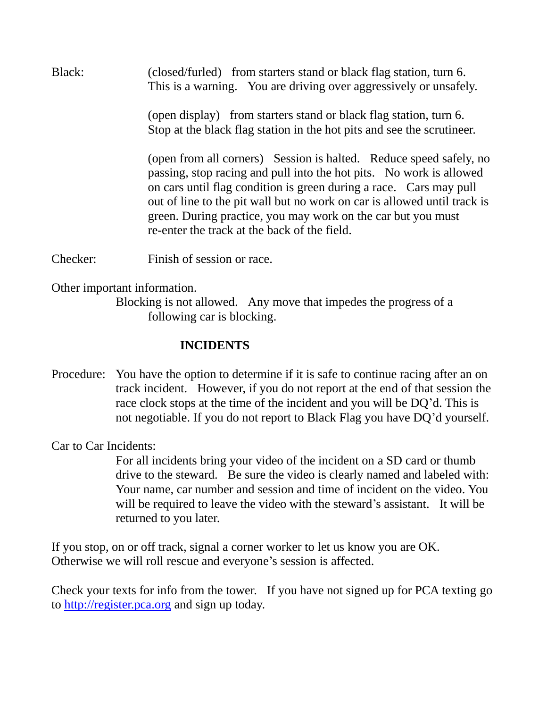Black: (closed/furled) from starters stand or black flag station, turn 6. This is a warning. You are driving over aggressively or unsafely.

> (open display) from starters stand or black flag station, turn 6. Stop at the black flag station in the hot pits and see the scrutineer.

(open from all corners) Session is halted. Reduce speed safely, no passing, stop racing and pull into the hot pits. No work is allowed on cars until flag condition is green during a race. Cars may pull out of line to the pit wall but no work on car is allowed until track is green. During practice, you may work on the car but you must re-enter the track at the back of the field.

Checker: Finish of session or race.

Other important information.

Blocking is not allowed. Any move that impedes the progress of a following car is blocking.

#### **INCIDENTS**

Procedure: You have the option to determine if it is safe to continue racing after an on track incident. However, if you do not report at the end of that session the race clock stops at the time of the incident and you will be DQ'd. This is not negotiable. If you do not report to Black Flag you have DQ'd yourself.

Car to Car Incidents:

For all incidents bring your video of the incident on a SD card or thumb drive to the steward. Be sure the video is clearly named and labeled with: Your name, car number and session and time of incident on the video. You will be required to leave the video with the steward's assistant. It will be returned to you later.

If you stop, on or off track, signal a corner worker to let us know you are OK. Otherwise we will roll rescue and everyone's session is affected.

Check your texts for info from the tower. If you have not signed up for PCA texting go to [http://register.pca.org](http://register.pca.org/) and sign up today.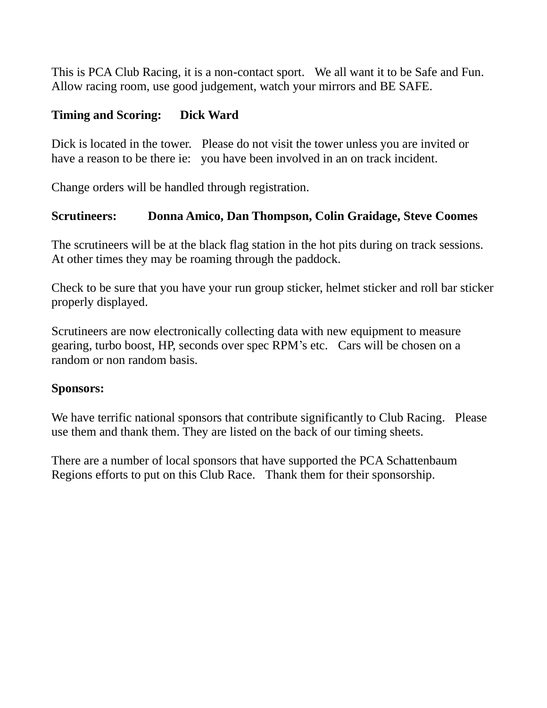This is PCA Club Racing, it is a non-contact sport. We all want it to be Safe and Fun. Allow racing room, use good judgement, watch your mirrors and BE SAFE.

## **Timing and Scoring: Dick Ward**

Dick is located in the tower. Please do not visit the tower unless you are invited or have a reason to be there ie: you have been involved in an on track incident.

Change orders will be handled through registration.

## **Scrutineers: Donna Amico, Dan Thompson, Colin Graidage, Steve Coomes**

The scrutineers will be at the black flag station in the hot pits during on track sessions. At other times they may be roaming through the paddock.

Check to be sure that you have your run group sticker, helmet sticker and roll bar sticker properly displayed.

Scrutineers are now electronically collecting data with new equipment to measure gearing, turbo boost, HP, seconds over spec RPM's etc. Cars will be chosen on a random or non random basis.

#### **Sponsors:**

We have terrific national sponsors that contribute significantly to Club Racing. Please use them and thank them. They are listed on the back of our timing sheets.

There are a number of local sponsors that have supported the PCA Schattenbaum Regions efforts to put on this Club Race. Thank them for their sponsorship.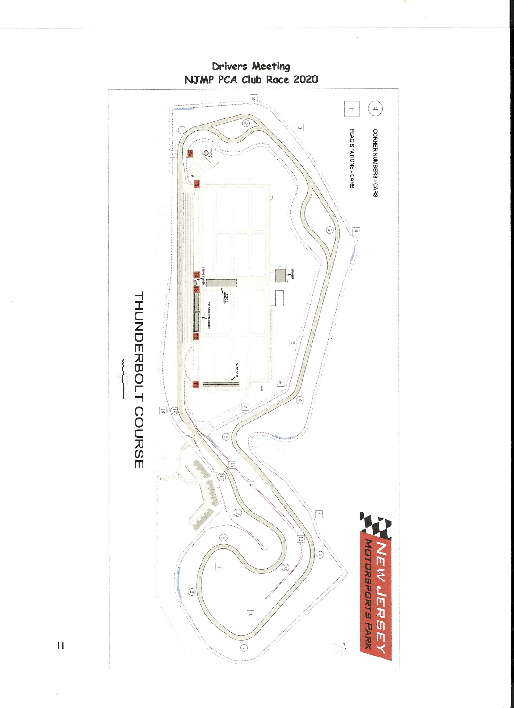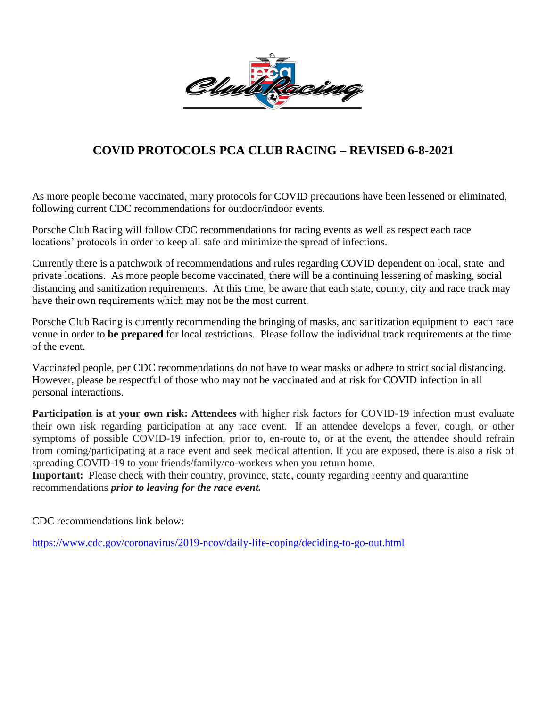

# **COVID PROTOCOLS PCA CLUB RACING – REVISED 6-8-2021**

As more people become vaccinated, many protocols for COVID precautions have been lessened or eliminated, following current CDC recommendations for outdoor/indoor events.

Porsche Club Racing will follow CDC recommendations for racing events as well as respect each race locations' protocols in order to keep all safe and minimize the spread of infections.

Currently there is a patchwork of recommendations and rules regarding COVID dependent on local, state and private locations. As more people become vaccinated, there will be a continuing lessening of masking, social distancing and sanitization requirements. At this time, be aware that each state, county, city and race track may have their own requirements which may not be the most current.

Porsche Club Racing is currently recommending the bringing of masks, and sanitization equipment to each race venue in order to **be prepared** for local restrictions. Please follow the individual track requirements at the time of the event.

Vaccinated people, per CDC recommendations do not have to wear masks or adhere to strict social distancing. However, please be respectful of those who may not be vaccinated and at risk for COVID infection in all personal interactions.

**Participation is at your own risk: Attendees** with higher risk factors for COVID-19 infection must evaluate their own risk regarding participation at any race event. If an attendee develops a fever, cough, or other symptoms of possible COVID-19 infection, prior to, en-route to, or at the event, the attendee should refrain from coming/participating at a race event and seek medical attention. If you are exposed, there is also a risk of spreading COVID-19 to your friends/family/co-workers when you return home.

**Important:** Please check with their country, province, state, county regarding reentry and quarantine recommendations *prior to leaving for the race event.*

CDC recommendations link below:

<https://www.cdc.gov/coronavirus/2019-ncov/daily-life-coping/deciding-to-go-out.html>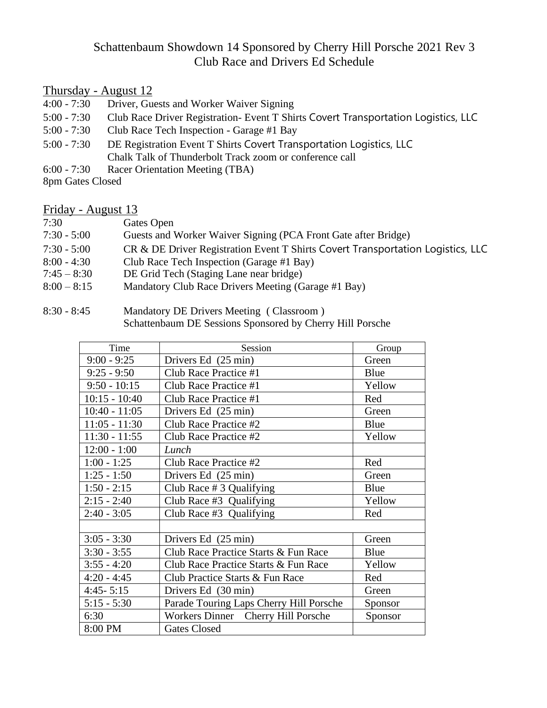#### Schattenbaum Showdown 14 Sponsored by Cherry Hill Porsche 2021 Rev 3 Club Race and Drivers Ed Schedule

# $T_{\text{hursday - August 12}}$ <br>4:00 - 7:30 Driver, Gu

- Driver, Guests and Worker Waiver Signing
- 5:00 7:30 Club Race Driver Registration- Event T Shirts Covert Transportation Logistics, LLC
- 5:00 7:30 Club Race Tech Inspection Garage #1 Bay
- 5:00 7:30 DE Registration Event T Shirts Covert Transportation Logistics, LLC Chalk Talk of Thunderbolt Track zoom or conference call
- 6:00 7:30 Racer Orientation Meeting (TBA)

8pm Gates Closed

#### Friday - August 13

| 7:30          | Gates Open                                                                      |
|---------------|---------------------------------------------------------------------------------|
| $7:30 - 5:00$ | Guests and Worker Waiver Signing (PCA Front Gate after Bridge)                  |
| $7:30 - 5:00$ | CR & DE Driver Registration Event T Shirts Covert Transportation Logistics, LLC |
| $8:00 - 4:30$ | Club Race Tech Inspection (Garage #1 Bay)                                       |
| $7:45 - 8:30$ | DE Grid Tech (Staging Lane near bridge)                                         |
| $8:00 - 8:15$ | Mandatory Club Race Drivers Meeting (Garage #1 Bay)                             |

8:30 - 8:45 Mandatory DE Drivers Meeting ( Classroom ) Schattenbaum DE Sessions Sponsored by Cherry Hill Porsche

| Time            | Session                                 | Group   |
|-----------------|-----------------------------------------|---------|
| $9:00 - 9:25$   | Drivers Ed (25 min)                     | Green   |
| $9:25 - 9:50$   | Club Race Practice #1                   | Blue    |
| $9:50 - 10:15$  | Club Race Practice #1                   | Yellow  |
| $10:15 - 10:40$ | Club Race Practice #1                   | Red     |
| $10:40 - 11:05$ | Drivers Ed (25 min)                     | Green   |
| $11:05 - 11:30$ | Club Race Practice #2                   | Blue    |
| $11:30 - 11:55$ | Club Race Practice #2                   | Yellow  |
| $12:00 - 1:00$  | Lunch                                   |         |
| $1:00 - 1:25$   | Club Race Practice #2                   | Red     |
| $1:25 - 1:50$   | Drivers Ed (25 min)                     | Green   |
| $1:50 - 2:15$   | Club Race $# 3$ Qualifying              | Blue    |
| $2:15 - 2:40$   | Club Race #3 Qualifying                 | Yellow  |
| $2:40 - 3:05$   | Club Race $#3$ Qualifying               | Red     |
|                 |                                         |         |
| $3:05 - 3:30$   | Drivers Ed (25 min)                     | Green   |
| $3:30 - 3:55$   | Club Race Practice Starts & Fun Race    | Blue    |
| $3:55 - 4:20$   | Club Race Practice Starts & Fun Race    | Yellow  |
| $4:20 - 4:45$   | Club Practice Starts & Fun Race         | Red     |
| $4:45 - 5:15$   | Drivers Ed (30 min)                     | Green   |
| $5:15 - 5:30$   | Parade Touring Laps Cherry Hill Porsche | Sponsor |
| 6:30            | Workers Dinner Cherry Hill Porsche      | Sponsor |
| 8:00 PM         | <b>Gates Closed</b>                     |         |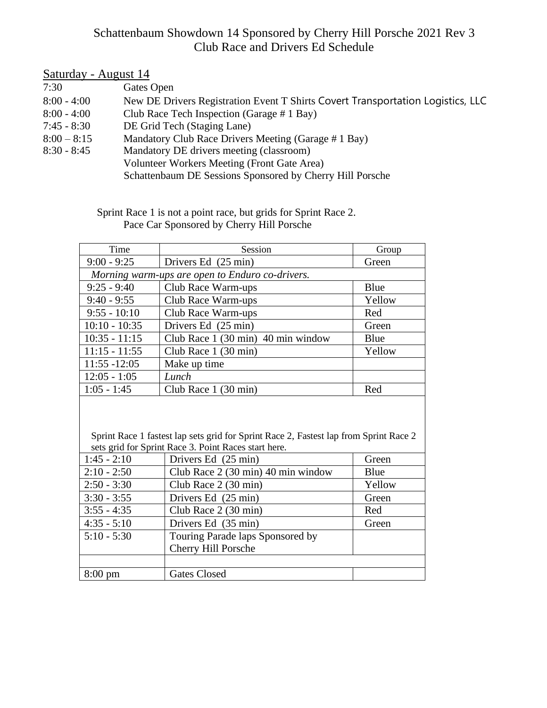## Schattenbaum Showdown 14 Sponsored by Cherry Hill Porsche 2021 Rev 3 Club Race and Drivers Ed Schedule

| Saturday - August 14 |                                                                                 |
|----------------------|---------------------------------------------------------------------------------|
| 7:30                 | Gates Open                                                                      |
| $8:00 - 4:00$        | New DE Drivers Registration Event T Shirts Covert Transportation Logistics, LLC |
| $8:00 - 4:00$        | Club Race Tech Inspection (Garage # 1 Bay)                                      |
| $7:45 - 8:30$        | DE Grid Tech (Staging Lane)                                                     |
| $8:00 - 8:15$        | Mandatory Club Race Drivers Meeting (Garage #1 Bay)                             |
| $8:30 - 8:45$        | Mandatory DE drivers meeting (classroom)                                        |
|                      | Volunteer Workers Meeting (Front Gate Area)                                     |
|                      | Schattenbaum DE Sessions Sponsored by Cherry Hill Porsche                       |

 Sprint Race 1 is not a point race, but grids for Sprint Race 2. Pace Car Sponsored by Cherry Hill Porsche

| Time                                                                                  | Session                                         | Group  |
|---------------------------------------------------------------------------------------|-------------------------------------------------|--------|
| $9:00 - 9:25$                                                                         | Drivers Ed (25 min)                             | Green  |
|                                                                                       | Morning warm-ups are open to Enduro co-drivers. |        |
| $9:25 - 9:40$                                                                         | Club Race Warm-ups                              | Blue   |
| $9:40 - 9:55$                                                                         | Club Race Warm-ups                              | Yellow |
| $9:55 - 10:10$                                                                        | Club Race Warm-ups                              | Red    |
| $10:10 - 10:35$                                                                       | Drivers Ed (25 min)                             | Green  |
| $10:35 - 11:15$                                                                       | Club Race 1 (30 min) 40 min window              | Blue   |
| $11:15 - 11:55$                                                                       | Club Race $1(30 \text{ min})$                   | Yellow |
| $11:55 - 12:05$                                                                       | Make up time                                    |        |
| $12:05 - 1:05$                                                                        | Lunch                                           |        |
| $1:05 - 1:45$                                                                         | Club Race $1(30 \text{ min})$                   | Red    |
|                                                                                       |                                                 |        |
|                                                                                       |                                                 |        |
| Sprint Race 1 fastest lap sets grid for Sprint Race 2, Fastest lap from Sprint Race 2 |                                                 |        |

|                   | sets grid for Sprint Race 3. Point Races start here. |        |
|-------------------|------------------------------------------------------|--------|
| $1:45 - 2:10$     | Drivers Ed (25 min)                                  | Green  |
| $2:10 - 2:50$     | Club Race 2 (30 min) 40 min window                   | Blue   |
| $2:50 - 3:30$     | Club Race 2 (30 min)                                 | Yellow |
| $3:30 - 3:55$     | Drivers Ed (25 min)                                  | Green  |
| $3:55 - 4:35$     | Club Race 2 (30 min)                                 | Red    |
| $4:35 - 5:10$     | Drivers Ed (35 min)                                  | Green  |
| $5:10 - 5:30$     | Touring Parade laps Sponsored by                     |        |
|                   | Cherry Hill Porsche                                  |        |
|                   |                                                      |        |
| $8:00 \text{ pm}$ | Gates Closed                                         |        |